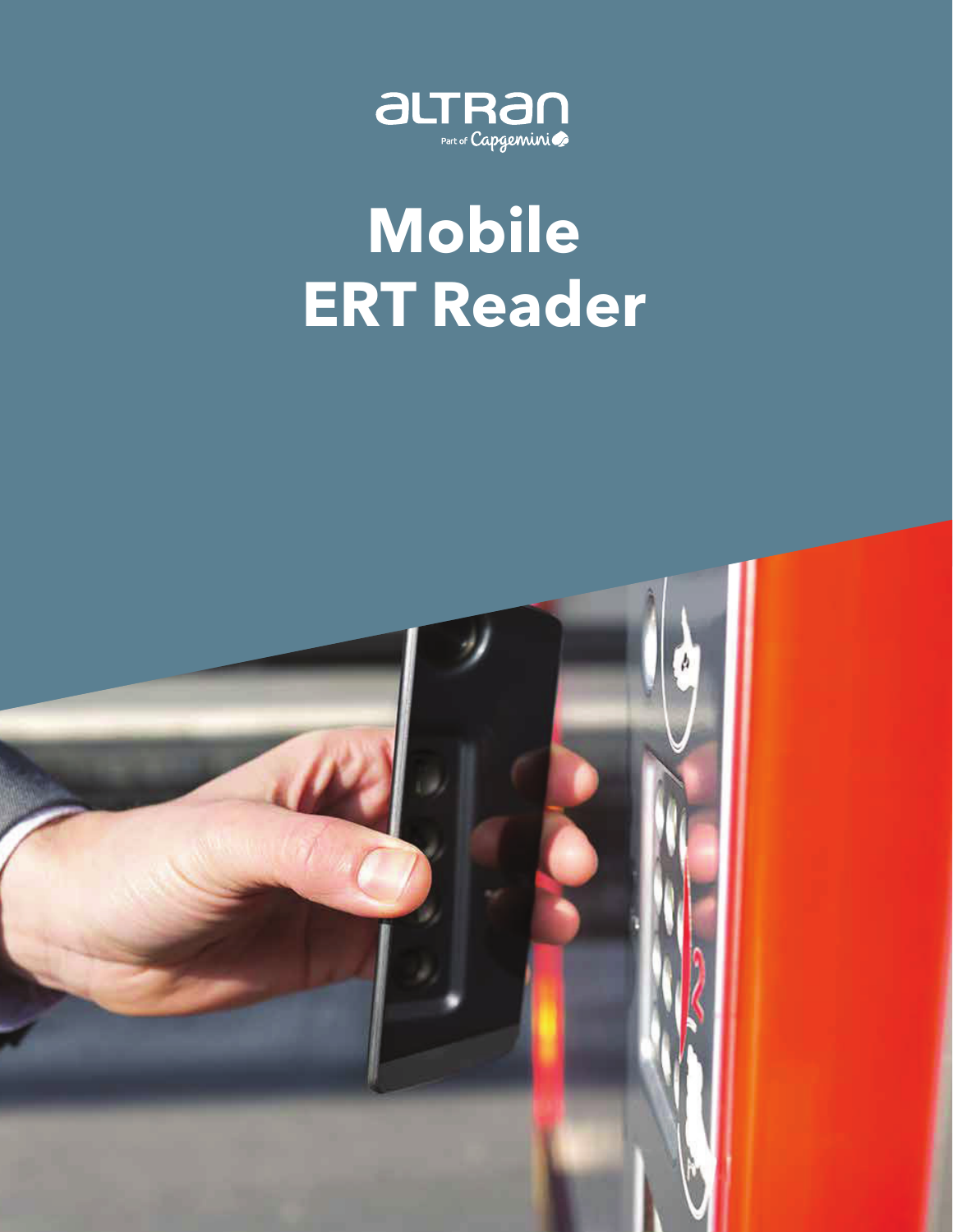

# **Mobile ERT Reader**